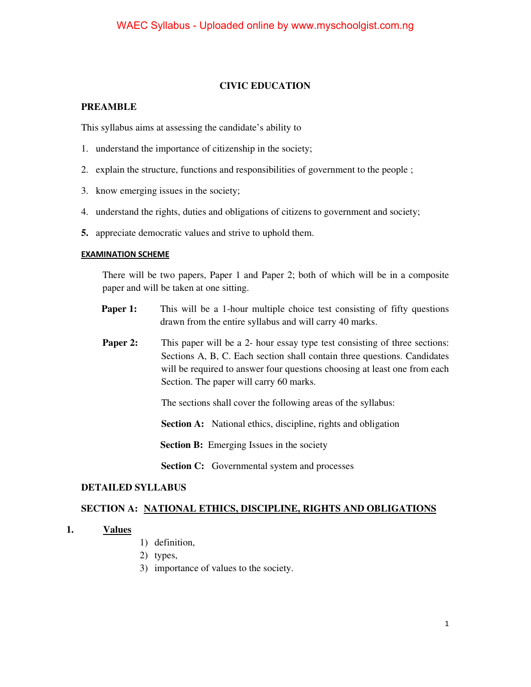## **CIVIC EDUCATION**

#### **PREAMBLE**

This syllabus aims at assessing the candidate's ability to

- 1. understand the importance of citizenship in the society;
- 2. explain the structure, functions and responsibilities of government to the people ;
- 3. know emerging issues in the society;
- 4. understand the rights, duties and obligations of citizens to government and society;
- **5.** appreciate democratic values and strive to uphold them.

#### **EXAMINATION SCHEME**

There will be two papers, Paper 1 and Paper 2; both of which will be in a composite paper and will be taken at one sitting.

- **Paper 1:** This will be a 1-hour multiple choice test consisting of fifty questions drawn from the entire syllabus and will carry 40 marks.
- **Paper 2:** This paper will be a 2- hour essay type test consisting of three sections: Sections A, B, C. Each section shall contain three questions. Candidates will be required to answer four questions choosing at least one from each Section. The paper will carry 60 marks.

The sections shall cover the following areas of the syllabus:

**Section A:** National ethics, discipline, rights and obligation

**Section B:** Emerging Issues in the society

**Section C:** Governmental system and processes

#### **DETAILED SYLLABUS**

#### **SECTION A: NATIONAL ETHICS, DISCIPLINE, RIGHTS AND OBLIGATIONS**

#### **1. Values**

- 1) definition,
- 2) types,
- 3) importance of values to the society.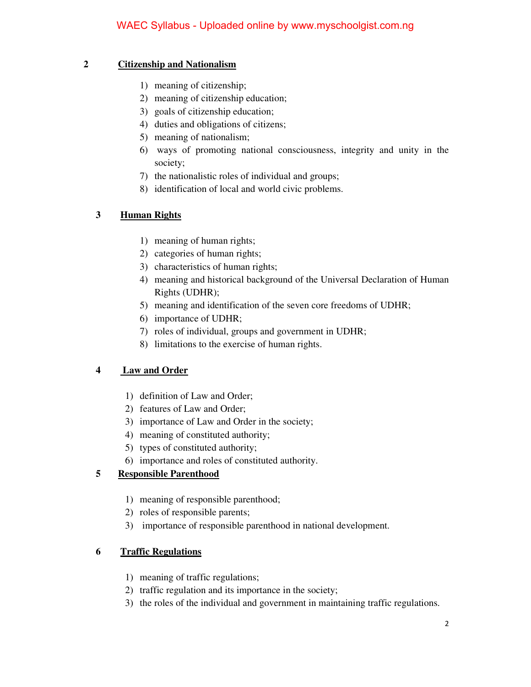## **2 Citizenship and Nationalism**

- 1) meaning of citizenship;
- 2) meaning of citizenship education;
- 3) goals of citizenship education;
- 4) duties and obligations of citizens;
- 5) meaning of nationalism;
- 6) ways of promoting national consciousness, integrity and unity in the society;
- 7) the nationalistic roles of individual and groups;
- 8) identification of local and world civic problems.

# **3 Human Rights**

- 1) meaning of human rights;
- 2) categories of human rights;
- 3) characteristics of human rights;
- 4) meaning and historical background of the Universal Declaration of Human Rights (UDHR);
- 5) meaning and identification of the seven core freedoms of UDHR;
- 6) importance of UDHR;
- 7) roles of individual, groups and government in UDHR;
- 8) limitations to the exercise of human rights.

# **4 Law and Order**

- 1) definition of Law and Order;
- 2) features of Law and Order;
- 3) importance of Law and Order in the society;
- 4) meaning of constituted authority;
- 5) types of constituted authority;
- 6) importance and roles of constituted authority.

# **5 Responsible Parenthood**

- 1) meaning of responsible parenthood;
- 2) roles of responsible parents;
- 3) importance of responsible parenthood in national development.

# **6 Traffic Regulations**

- 1) meaning of traffic regulations;
- 2) traffic regulation and its importance in the society;
- 3) the roles of the individual and government in maintaining traffic regulations.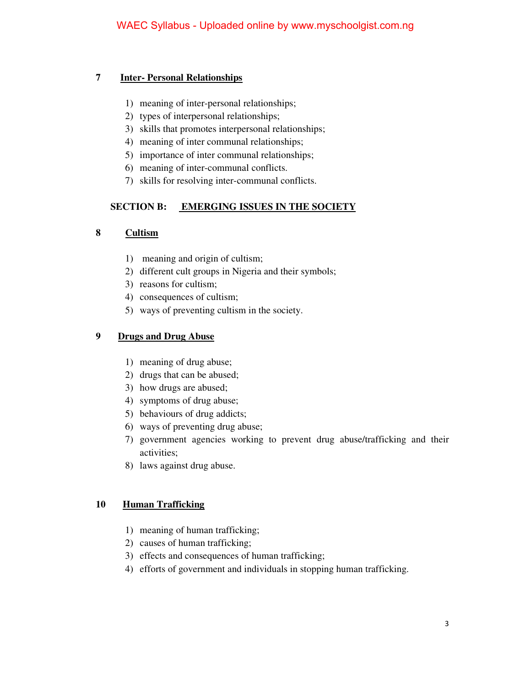#### **7 Inter- Personal Relationships**

- 1) meaning of inter-personal relationships;
- 2) types of interpersonal relationships;
- 3) skills that promotes interpersonal relationships;
- 4) meaning of inter communal relationships;
- 5) importance of inter communal relationships;
- 6) meaning of inter-communal conflicts.
- 7) skills for resolving inter-communal conflicts.

## **SECTION B: EMERGING ISSUES IN THE SOCIETY**

## **8 Cultism**

- 1) meaning and origin of cultism;
- 2) different cult groups in Nigeria and their symbols;
- 3) reasons for cultism;
- 4) consequences of cultism;
- 5) ways of preventing cultism in the society.

## **9 Drugs and Drug Abuse**

- 1) meaning of drug abuse;
- 2) drugs that can be abused;
- 3) how drugs are abused;
- 4) symptoms of drug abuse;
- 5) behaviours of drug addicts;
- 6) ways of preventing drug abuse;
- 7) government agencies working to prevent drug abuse/trafficking and their activities;
- 8) laws against drug abuse.

## **10 Human Trafficking**

- 1) meaning of human trafficking;
- 2) causes of human trafficking;
- 3) effects and consequences of human trafficking;
- 4) efforts of government and individuals in stopping human trafficking.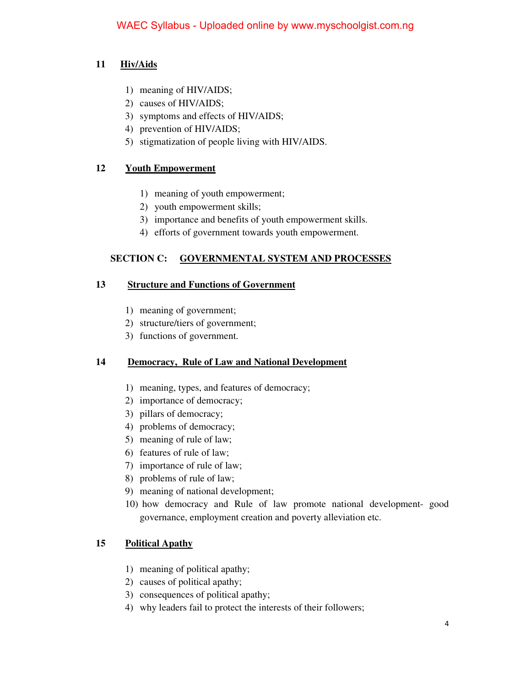# **11 Hiv/Aids**

- 1) meaning of HIV/AIDS;
- 2) causes of HIV/AIDS;
- 3) symptoms and effects of HIV/AIDS;
- 4) prevention of HIV/AIDS;
- 5) stigmatization of people living with HIV/AIDS.

## **12 Youth Empowerment**

- 1) meaning of youth empowerment;
- 2) youth empowerment skills;
- 3) importance and benefits of youth empowerment skills.
- 4) efforts of government towards youth empowerment.

## **SECTION C: GOVERNMENTAL SYSTEM AND PROCESSES**

#### **13 Structure and Functions of Government**

- 1) meaning of government;
- 2) structure/tiers of government;
- 3) functions of government.

## **14 Democracy, Rule of Law and National Development**

- 1) meaning, types, and features of democracy;
- 2) importance of democracy;
- 3) pillars of democracy;
- 4) problems of democracy;
- 5) meaning of rule of law;
- 6) features of rule of law;
- 7) importance of rule of law;
- 8) problems of rule of law;
- 9) meaning of national development;
- 10) how democracy and Rule of law promote national development- good governance, employment creation and poverty alleviation etc.

## **15 Political Apathy**

- 1) meaning of political apathy;
- 2) causes of political apathy;
- 3) consequences of political apathy;
- 4) why leaders fail to protect the interests of their followers;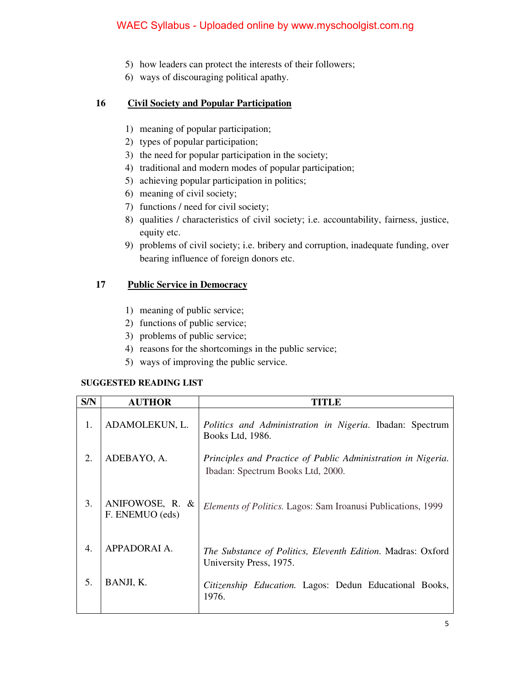# WAEC Syllabus - Uploaded online by www.myschoolgist.com.ng

- 5) how leaders can protect the interests of their followers;
- 6) ways of discouraging political apathy.

#### **16 Civil Society and Popular Participation**

- 1) meaning of popular participation;
- 2) types of popular participation;
- 3) the need for popular participation in the society;
- 4) traditional and modern modes of popular participation;
- 5) achieving popular participation in politics;
- 6) meaning of civil society;
- 7) functions / need for civil society;
- 8) qualities / characteristics of civil society; i.e. accountability, fairness, justice, equity etc.
- 9) problems of civil society; i.e. bribery and corruption, inadequate funding, over bearing influence of foreign donors etc.

#### **17 Public Service in Democracy**

- 1) meaning of public service;
- 2) functions of public service;
- 3) problems of public service;
- 4) reasons for the shortcomings in the public service;
- 5) ways of improving the public service.

#### **SUGGESTED READING LIST**

| S/N              | <b>AUTHOR</b>                      | TITLE                                                                                             |
|------------------|------------------------------------|---------------------------------------------------------------------------------------------------|
| 1.               | ADAMOLEKUN, L.                     | Politics and Administration in Nigeria. Ibadan: Spectrum<br>Books Ltd, 1986.                      |
| 2.               | ADEBAYO, A.                        | Principles and Practice of Public Administration in Nigeria.<br>Ibadan: Spectrum Books Ltd, 2000. |
| 3.               | ANIFOWOSE, R. &<br>F. ENEMUO (eds) | <i>Elements of Politics.</i> Lagos: Sam Iroanusi Publications, 1999                               |
| $\overline{4}$ . | APPADORAI A.                       | <i>The Substance of Politics, Eleventh Edition. Madras: Oxford</i><br>University Press, 1975.     |
| 5.               | BANJI, K.                          | Citizenship Education. Lagos: Dedun Educational Books,<br>1976.                                   |